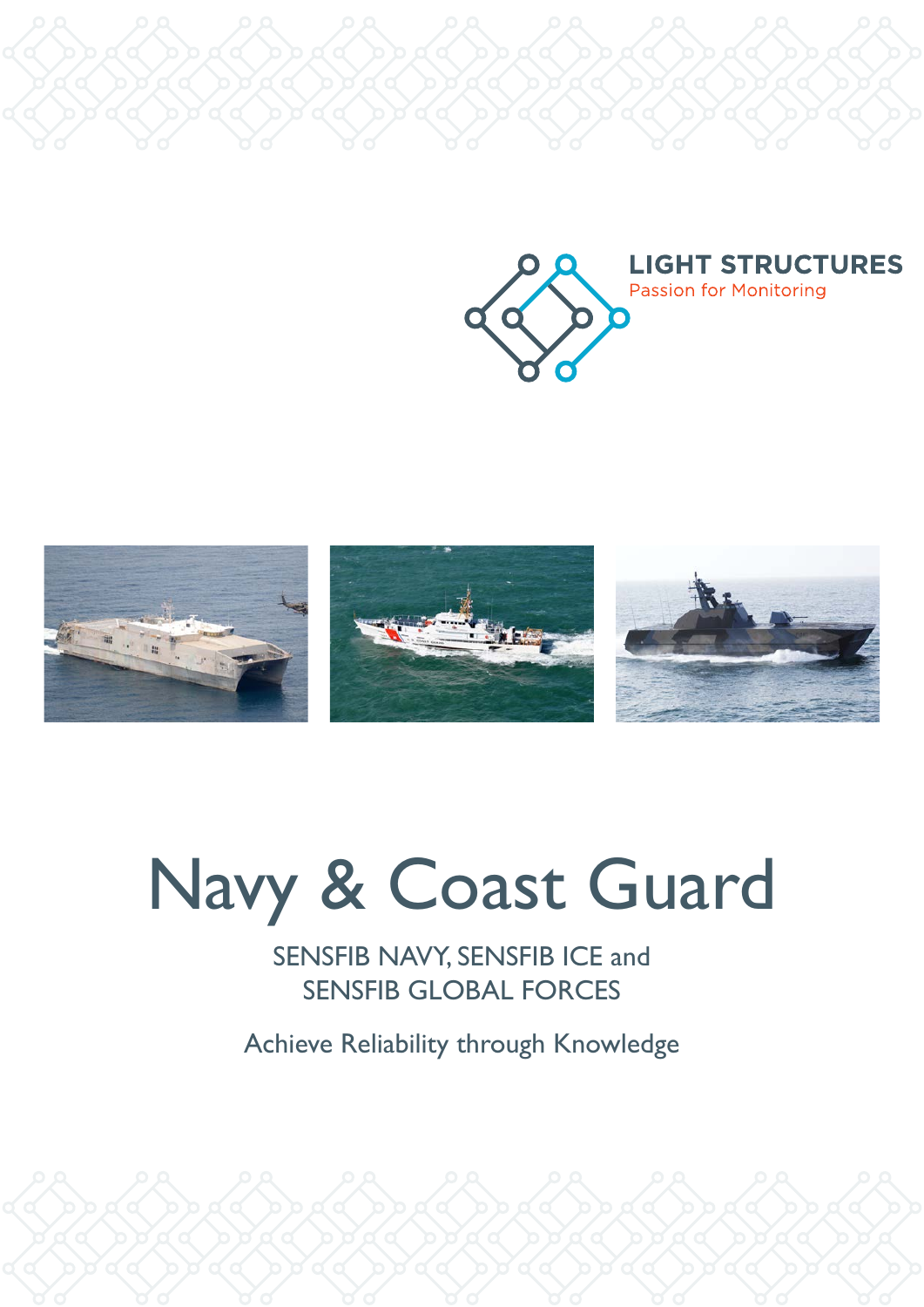



# Navy & Coast Guard

SENSFIB NAVY, SENSFIB ICE and SENSFIB GLOBAL FORCES

Achieve Reliability through Knowledge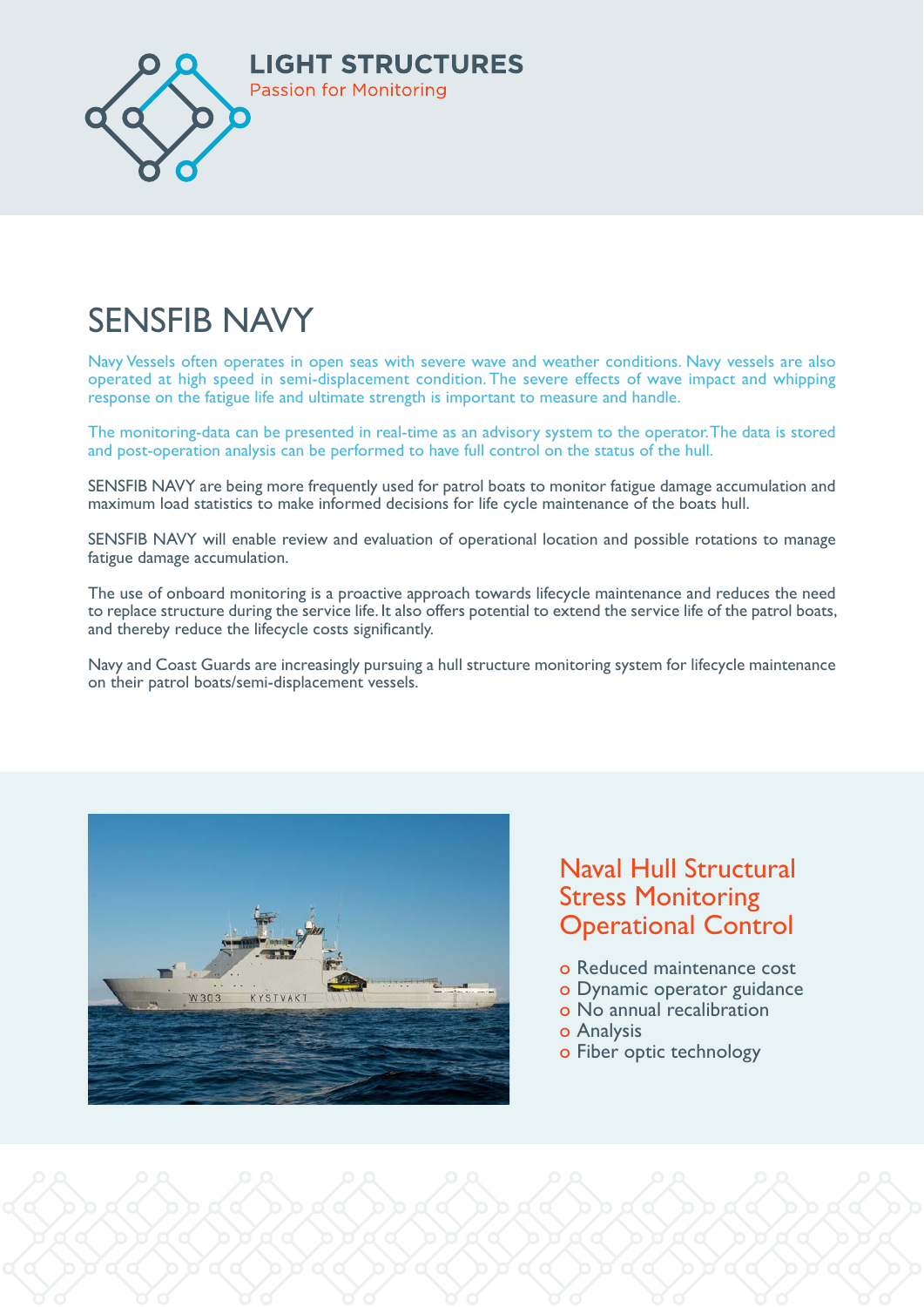

#### ČENJČEJ NJAVAZ  $K_{\text{eff}}$ SENSFIB NAVY

Navy Vessels often operates in open seas with severe wave and weather conditions. Navy vessels are also ɽɨƃȶɰȈɽɰƃɰƺɁȴǹɁɨɽƃƹȢljƃɰɥɁɰɰȈƹȢljӝěȃljɰɁȢʍɽȈɁȶȈɰɰƺƃȢljƃƹȢljǹɨɁȴɰȃɁɨɽӸȃƃʍȢǹljɨɨȈljɰɽɁɽȃljȢƃɨǼljɰɽ operated at high speed in semi-displacement condition. The severe effects of wave impact and whipping response on the fatigue life and ultimate strength is important to measure and handle  $\mathbf{H}$ response on the fatigue life and ultimate strength is important to measure and handle.

The monitoring-data can be presented in real-time as an advisory system to the operator. The data is stored ɰ ɽȃlj ƺɨʍȈɰlj ǁljɰɽȈȶƃɽȈɁȶɰ ǼɨɁʥȴɁɨlj ljʯɁɽȈƺ ƃȶǁ ɽȃlj ƺʍɰɽɁȴljɨɰ ƃɨlj ȢɁɁȟȈȶǼ ǹɁɨȴɁɨlj ljʯɽɨljȴlj and post-operation analysis can be performed to have full control on the status of the hull.

SENSFIB NAVY are being more frequently used for patrol boats to monitor fatigue damage accumulation and maximum load statistics to make informed decisions for life cycle maintenance of the boats hull.

SENSFIB NAVY will enable review and evaluation of operational location and possible rotations to manage fatigue damage accumulation.

 $\Delta$  , we have a straight  $\Delta$  in the straight  $\Delta$  in the straight  $\Delta$  in the straight  $\Delta$ The use of onboard monitoring is a proactive approach towards lifecycle maintenance and reduces the need to replace structure during the service life. It also offers potential to extend the service life of the patrol boats, and thereby reduce the lifecycle costs significantly.

Navy and Coast Guards are increasingly pursuing a hull structure monitoring system for lifecycle maintenance Amazona Compare Compare Compare Compare Compare Compare Compare Compare Compare Compare Compare Compare Compare Compare Compare Compare Compare Compare Compare Compare Compare Compare Compare Compare Compare Compare Compar



### **Naval Hull Structural Stress Monitoring** Operational Control

- **External interval in the Reduced maintenance cost** 
	- o Dynamic operator guidance
	- o No annual recalibration
	- o Analysis
	- o Fiber optic technology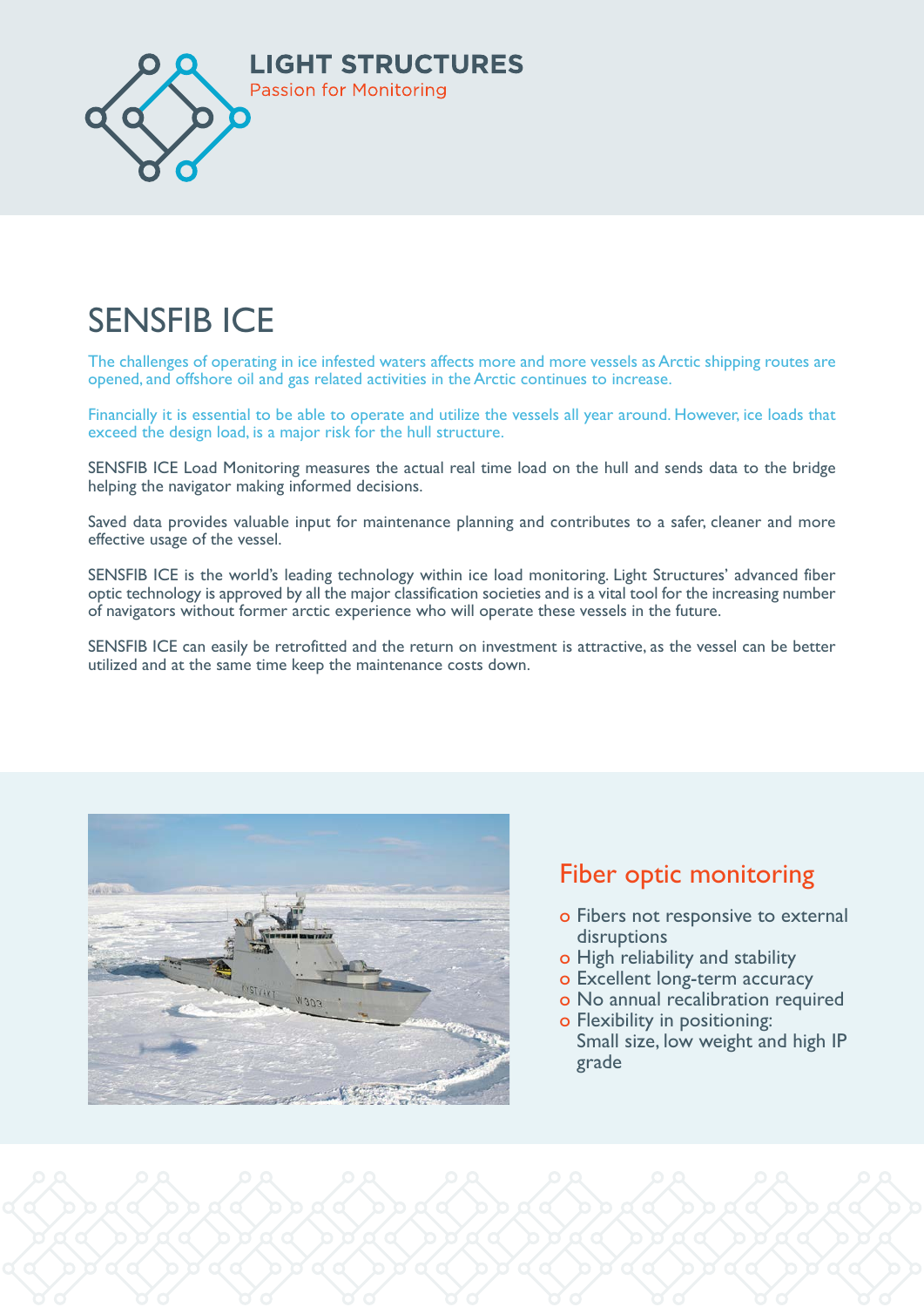

#### $CFA$  $\blacksquare$ SENSFIB ICE

The challenges of operating in ice infested waters affects more and more vessels as Arctic shipping routes are opened, and offshore oil and gas related activities in the Arctic continues to increase.

Financially it is essential to be able to operate and utilize the vessels all year around. However, ice loads that exceed the design load, is a major risk for the hull structure.

ǁƃȴƃǼljǹɨɁȴȈƺljǹȢɁljȈȶɽljɨƃƺɽȈɁȶɰӝ helping the navigator making informed decisions. SENSFIB ICE Load Monitoring measures the actual real time load on the hull and sends data to the bridge

Saved data provides valuable input for maintenance planning and contributes to a safer, cleaner and more effective usage of the vessel.

SENSFIB ICE is the world's leading technology within ice load monitoring. Light Structures' advanced fiber of navigators without former arctic experience who will operate these vessels in the future. optic technology is approved by all the major classification societies and is a vital tool for the increasing number

SENSFIB ICE can easily be retrofitted and the return on investment is attractive, as the vessel can be better utilized and at the same time keep the maintenance costs down.



# **Fiber optic monitoring**

- **o Fibers not responsive to external** disruptions
- Ɂ AʰȶƃȴȈƺɁɥljɨƃɽɁɨǼʍȈǁƃȶƺlj o High reliability and stability
- **o Excellent long-term accuracy**
- **External in the Second State of No annual recalibration required**
- **o** Flexibility in positioning: Small size, low weight and high IP grade